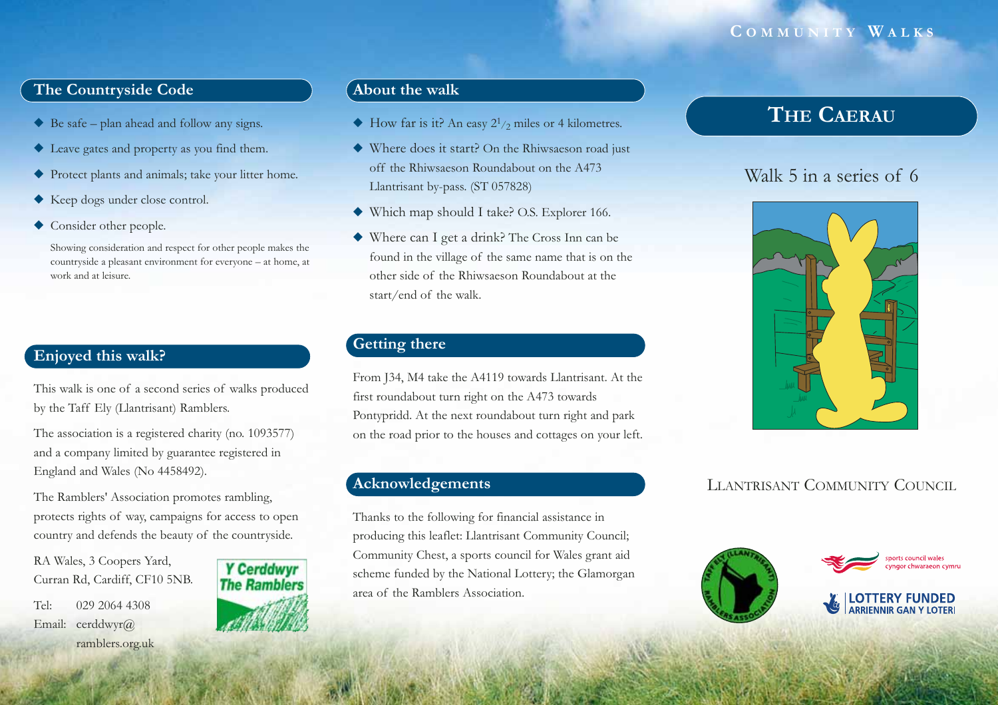#### **C OMMUNITY W ALKS**

## **The Countryside Code**

- ◆ Be safe plan ahead and follow any signs.
- ◆ Leave gates and property as you find them.
- ◆ Protect plants and animals; take your litter home.
- ◆ Keep dogs under close control.
- ◆ Consider other people.

Showing consideration and respect for other people makes the countryside a pleasant environment for everyone – at home, at work and at leisure.

## **Enjoyed this walk?**

This walk is one of a second series of walks produced by the Taff Ely (Llantrisant) Ramblers.

The association is a registered charity (no. 1093577) and a company limited by guarantee registered in England and Wales (No 4458492).

The Ramblers' Association promotes rambling, protects rights of way, campaigns for access to open country and defends the beauty of the countryside.

RA Wales, 3 Coopers Yard, Curran Rd, Cardiff, CF10 5NB.

Tel: 029 2064 4308Email: cerddwyr@ ramblers.org.uk



#### **About the walk**

- $\blacklozenge$  How far is it? An easy  $2^{1/2}$  miles or 4 kilometres.
- ◆ Where does it start? On the Rhiwsaeson road just off the Rhiwsaeson Roundabout on the A473Llantrisant by-pass. (ST 057828)
- ◆ Which map should I take? O.S. Explorer 166.
- ◆ Where can I get a drink? The Cross Inn can be found in the village of the same name that is on the other side of the Rhiwsaeson Roundabout at thestart/end of the walk.

## **Getting there**

From J34, M4 take the A4119 towards Llantrisant. At the first roundabout turn right on the A473 towards Pontypridd. At the next roundabout turn right and park on the road prior to the houses and cottages on your left.

## **Acknowledgements**

Thanks to the following for financial assistance in producing this leaflet: Llantrisant Community Council; Community Chest, a sports council for Wales grant aid scheme funded by the National Lottery; the Glamorgan area of the Ramblers Association.

# **THE CAERAU**

# Walk 5 in a series of 6



## LLANTRISANT COMMUNITY COUNCIL